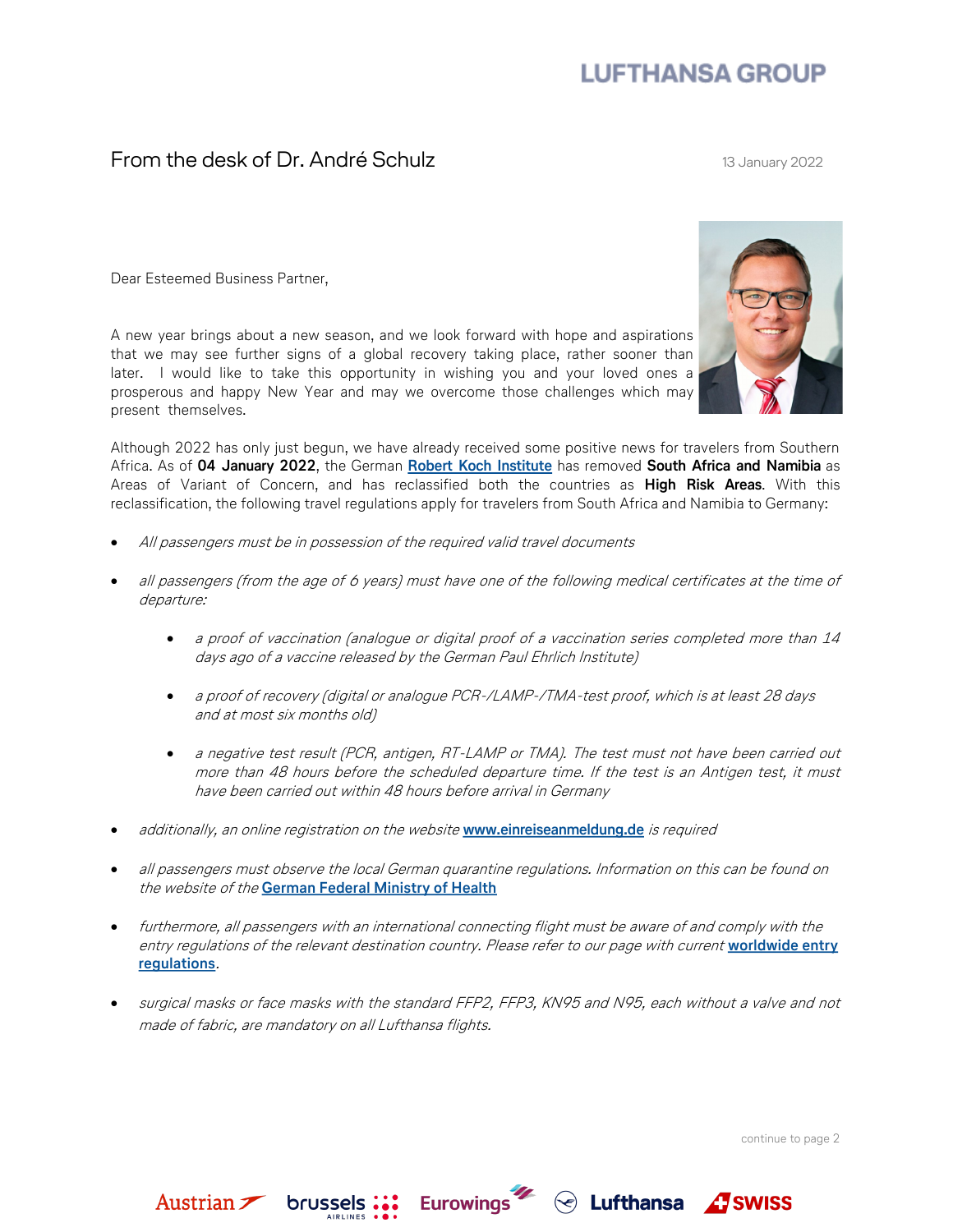## **LUFTHANSA GROUP**

## From the desk of Dr. André Schulz 13 January 2022

Dear Esteemed Business Partner,

A new year brings about a new season, and we look forward with hope and aspirations that we may see further signs of a global recovery taking place, rather sooner than later. I would like to take this opportunity in wishing you and your loved ones a prosperous and happy New Year and may we overcome those challenges which may present themselves.

Although 2022 has only just begun, we have already received some positive news for travelers from Southern Africa. As of **04 January 2022**, the German **[Robert Koch Institute](https://www.rki.de/DE/Content/InfAZ/N/Neuartiges_Coronavirus/Risikogebiete_neu.html)** has removed **South Africa and Namibia** as Areas of Variant of Concern, and has reclassified both the countries as **High Risk Areas**. With this reclassification, the following travel regulations apply for travelers from South Africa and Namibia to Germany:

- All passengers must be in possession of the required valid travel documents
- all passengers (from the age of 6 years) must have one of the following medical certificates at the time of departure:
	- a proof of vaccination (analogue or digital proof of a vaccination series completed more than 14 days ago of a vaccine released by the German Paul Ehrlich Institute)
	- a proof of recovery (digital or analogue PCR-/LAMP-/TMA-test proof, which is at least 28 days and at most six months old)
	- a negative test result (PCR, antigen, RT-LAMP or TMA). The test must not have been carried out more than 48 hours before the scheduled departure time. If the test is an Antigen test, it must have been carried out within 48 hours before arrival in Germany
- additionally, an online registration on the website **[www.einreiseanmeldung.de](https://www.einreiseanmeldung.de/#/)** is required
- all passengers must observe the local German quarantine regulations. Information on this can be found on the website of the **[German Federal Ministry of Health](https://www.bundesgesundheitsministerium.de/)**
- furthermore, all passengers with an international connecting flight must be aware of and comply with the entry regulations of the relevant destination country. Please refer to our page with current **[worldwide entry](https://lufthansa.travel-regulations.com/)  [regulations](https://lufthansa.travel-regulations.com/)**.
- surgical masks or face masks with the standard FFP2, FFP3, KN95 and N95, each without a valve and not made of fabric, are mandatory on all Lufthansa flights.

continue to page 2

 $\textcircled{f}$  Lufthansa  $\textcircled{f}$  SWISS



Austrian brussels: Eurowings